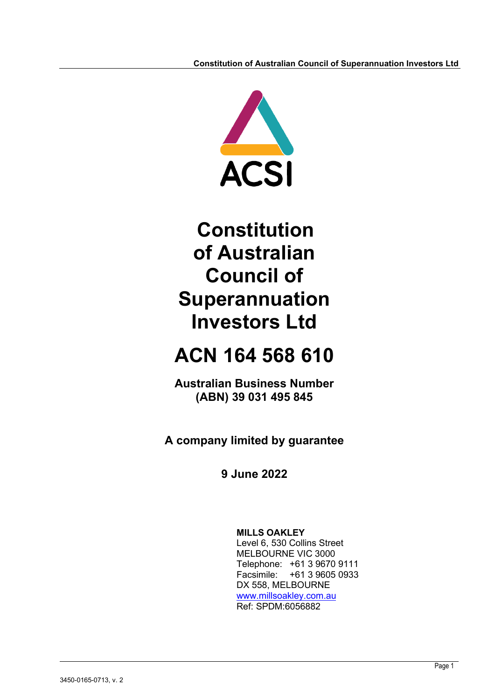

# **ACN 164 568 610**

**Australian Business Number (ABN) 39 031 495 845**

**A company limited by guarantee**

**9 June 2022**

**MILLS OAKLEY** Level 6, 530 Collins Street MELBOURNE VIC 3000 Telephone: +61 3 9670 9111 Facsimile: +61 3 9605 0933 DX 558, MELBOURNE [www.millsoakley.com.au](http://www.millsoakley.com.au/) Ref: SPDM:6056882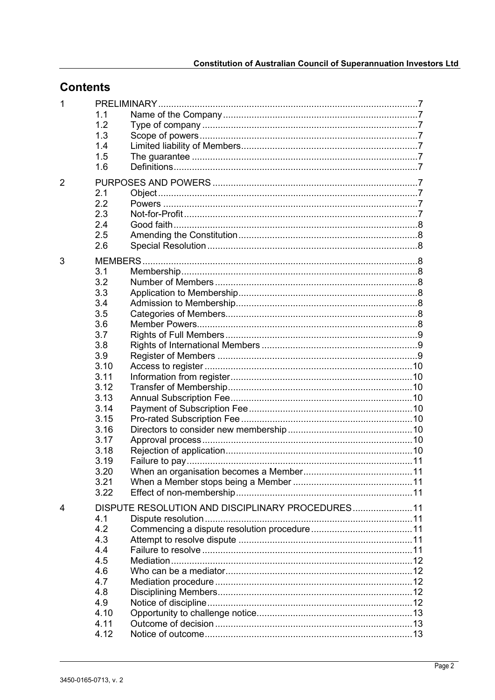# **Contents**

| 1              |      |                                                   |  |
|----------------|------|---------------------------------------------------|--|
|                | 1.1  |                                                   |  |
|                | 1.2  |                                                   |  |
|                | 1.3  |                                                   |  |
|                | 1.4  |                                                   |  |
|                | 1.5  |                                                   |  |
|                | 1.6  |                                                   |  |
|                |      |                                                   |  |
| $\overline{2}$ |      |                                                   |  |
|                | 2.1  |                                                   |  |
|                | 2.2  | Powers ………………………………………………………………………………………7         |  |
|                | 2.3  |                                                   |  |
|                | 2.4  |                                                   |  |
|                | 2.5  |                                                   |  |
|                | 2.6  |                                                   |  |
|                |      |                                                   |  |
| 3              |      |                                                   |  |
|                | 3.1  |                                                   |  |
|                | 3.2  |                                                   |  |
|                | 3.3  |                                                   |  |
|                | 3.4  |                                                   |  |
|                | 3.5  |                                                   |  |
|                | 3.6  |                                                   |  |
|                | 3.7  |                                                   |  |
|                | 3.8  |                                                   |  |
|                | 3.9  |                                                   |  |
|                | 3.10 |                                                   |  |
|                | 3.11 |                                                   |  |
|                | 3.12 |                                                   |  |
|                | 3.13 |                                                   |  |
|                | 3.14 |                                                   |  |
|                | 3.15 |                                                   |  |
|                | 3.16 |                                                   |  |
|                | 3.17 |                                                   |  |
|                | 3.18 |                                                   |  |
|                | 3.19 |                                                   |  |
|                | 3.20 |                                                   |  |
|                | 3.21 |                                                   |  |
|                | 3.22 |                                                   |  |
|                |      |                                                   |  |
| 4              |      | DISPUTE RESOLUTION AND DISCIPLINARY PROCEDURES 11 |  |
|                | 4.1  |                                                   |  |
|                | 4.2  |                                                   |  |
|                | 4.3  |                                                   |  |
|                | 4.4  |                                                   |  |
|                | 4.5  |                                                   |  |
|                | 4.6  |                                                   |  |
|                | 4.7  |                                                   |  |
|                | 4.8  |                                                   |  |
|                | 4.9  |                                                   |  |
|                | 4.10 |                                                   |  |
|                | 4.11 |                                                   |  |
|                | 4.12 |                                                   |  |
|                |      |                                                   |  |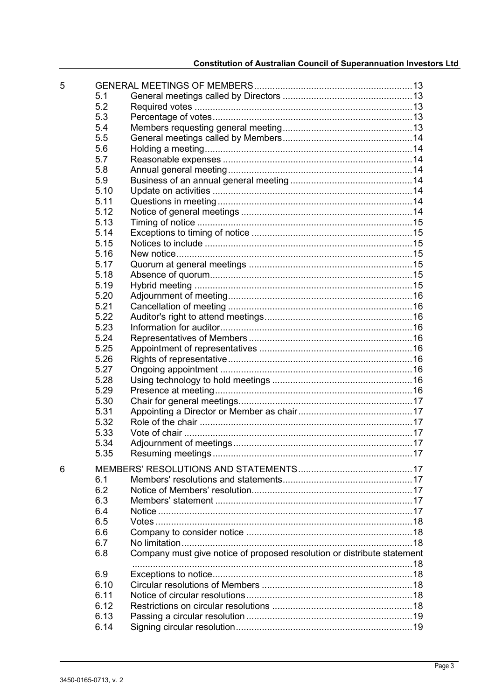| 5 |      |                                                                         |  |
|---|------|-------------------------------------------------------------------------|--|
|   | 5.1  |                                                                         |  |
|   | 5.2  |                                                                         |  |
|   | 5.3  |                                                                         |  |
|   | 5.4  |                                                                         |  |
|   | 5.5  |                                                                         |  |
|   | 5.6  |                                                                         |  |
|   | 5.7  |                                                                         |  |
|   | 5.8  |                                                                         |  |
|   | 5.9  |                                                                         |  |
|   | 5.10 |                                                                         |  |
|   | 5.11 |                                                                         |  |
|   | 5.12 |                                                                         |  |
|   | 5.13 |                                                                         |  |
|   | 5.14 |                                                                         |  |
|   | 5.15 |                                                                         |  |
|   | 5.16 |                                                                         |  |
|   | 5.17 |                                                                         |  |
|   | 5.18 |                                                                         |  |
|   | 5.19 |                                                                         |  |
|   | 5.20 |                                                                         |  |
|   | 5.21 |                                                                         |  |
|   | 5.22 |                                                                         |  |
|   | 5.23 |                                                                         |  |
|   | 5.24 |                                                                         |  |
|   | 5.25 |                                                                         |  |
|   | 5.26 |                                                                         |  |
|   | 5.27 |                                                                         |  |
|   | 5.28 |                                                                         |  |
|   | 5.29 |                                                                         |  |
|   | 5.30 |                                                                         |  |
|   | 5.31 |                                                                         |  |
|   | 5.32 |                                                                         |  |
|   | 5.33 |                                                                         |  |
|   | 5.34 |                                                                         |  |
|   | 5.35 |                                                                         |  |
|   |      |                                                                         |  |
| 6 |      |                                                                         |  |
|   | 6.1  |                                                                         |  |
|   | 6.2  |                                                                         |  |
|   | 6.3  |                                                                         |  |
|   | 6.4  |                                                                         |  |
|   | 6.5  |                                                                         |  |
|   | 6.6  |                                                                         |  |
|   | 6.7  |                                                                         |  |
|   | 6.8  | Company must give notice of proposed resolution or distribute statement |  |
|   |      |                                                                         |  |
|   | 6.9  |                                                                         |  |
|   | 6.10 |                                                                         |  |
|   | 6.11 |                                                                         |  |
|   | 6.12 |                                                                         |  |
|   | 6.13 |                                                                         |  |
|   | 6.14 |                                                                         |  |
|   |      |                                                                         |  |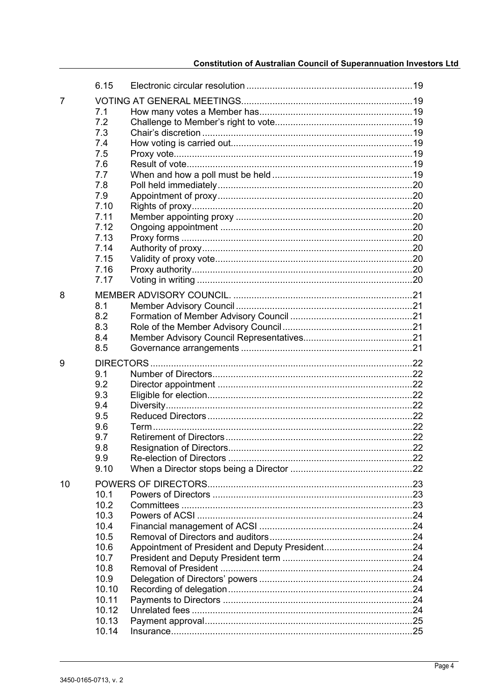|    | 6.15  |                                 |     |
|----|-------|---------------------------------|-----|
| 7  |       |                                 |     |
|    | 7.1   |                                 |     |
|    | 7.2   |                                 |     |
|    | 7.3   |                                 |     |
|    | 7.4   |                                 |     |
|    | 7.5   |                                 |     |
|    | 7.6   |                                 |     |
|    | 7.7   |                                 |     |
|    | 7.8   |                                 |     |
|    | 7.9   |                                 |     |
|    | 7.10  |                                 |     |
|    | 7.11  |                                 |     |
|    | 7.12  |                                 |     |
|    | 7.13  |                                 |     |
|    | 7.14  |                                 |     |
|    | 7.15  |                                 |     |
|    | 7.16  |                                 |     |
|    | 7.17  |                                 |     |
|    |       |                                 |     |
| 8  |       |                                 |     |
|    | 8.1   |                                 |     |
|    | 8.2   |                                 |     |
|    | 8.3   |                                 |     |
|    | 8.4   |                                 |     |
|    | 8.5   |                                 |     |
| 9  |       |                                 |     |
|    | 9.1   |                                 |     |
|    | 9.2   |                                 |     |
|    | 9.3   |                                 |     |
|    | 9.4   |                                 |     |
|    | 9.5   |                                 |     |
|    | 9.6   |                                 |     |
|    | 9.7   |                                 |     |
|    | 9.8   | <b>Resignation of Directors</b> | .22 |
|    | 9.9   |                                 |     |
|    | 9.10  |                                 |     |
| 10 |       |                                 |     |
|    | 10.1  |                                 |     |
|    | 10.2  |                                 |     |
|    | 10.3  |                                 |     |
|    | 10.4  |                                 |     |
|    | 10.5  |                                 |     |
|    | 10.6  |                                 |     |
|    | 10.7  |                                 |     |
|    | 10.8  |                                 |     |
|    | 10.9  |                                 |     |
|    | 10.10 |                                 |     |
|    | 10.11 |                                 |     |
|    | 10.12 |                                 |     |
|    | 10.13 |                                 |     |
|    | 10.14 |                                 |     |
|    |       |                                 |     |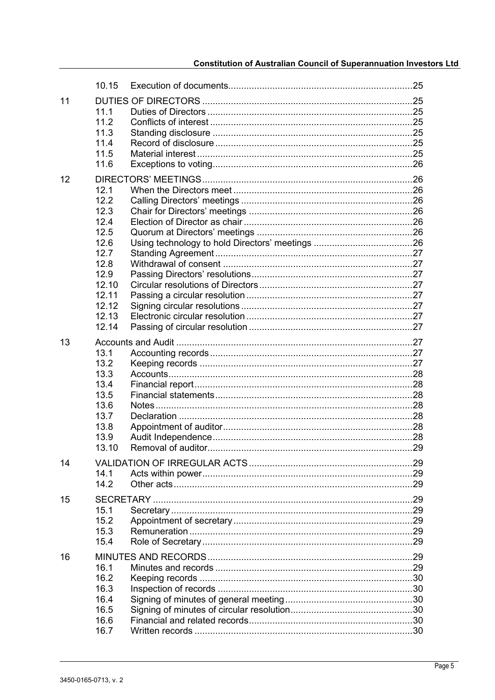|    | 10.15                                                                                                             |                     |  |
|----|-------------------------------------------------------------------------------------------------------------------|---------------------|--|
| 11 | 11.1<br>11.2<br>11.3<br>11.4<br>11.5<br>11.6                                                                      |                     |  |
| 12 | 12.1<br>12.2<br>12.3<br>12.4<br>12.5<br>12.6<br>12.7<br>12.8<br>12.9<br>12.10<br>12.11<br>12.12<br>12.13<br>12.14 |                     |  |
| 13 | 13.1<br>13.2<br>13.3<br>13.4<br>13.5<br>13.6<br>13.7<br>13.8<br>13.9<br>13.10                                     | Removal of auditor. |  |
| 14 | 14.1<br>14.2                                                                                                      |                     |  |
| 15 | 15.1<br>15.2<br>15.3<br>15.4                                                                                      |                     |  |
| 16 | 16.1<br>16.2<br>16.3<br>16.4<br>16.5<br>16.6<br>16.7                                                              |                     |  |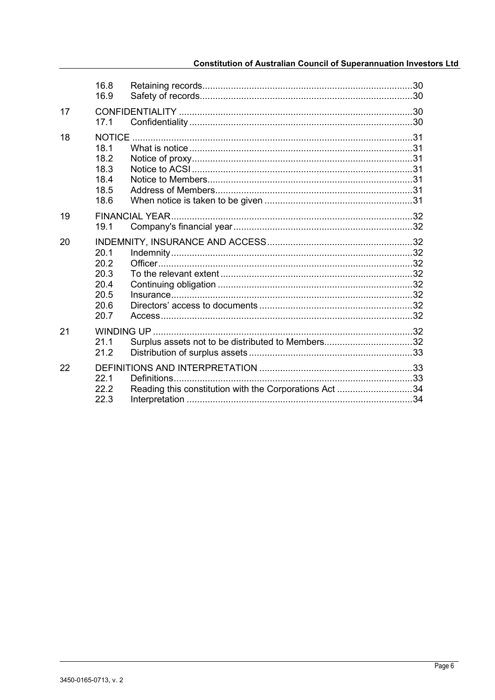|    | 16.8<br>16.9                                         |                                                        |  |
|----|------------------------------------------------------|--------------------------------------------------------|--|
| 17 | 17.1                                                 |                                                        |  |
| 18 | 18.1<br>18.2<br>18.3<br>18.4<br>18.5<br>18.6         |                                                        |  |
| 19 | 19.1                                                 |                                                        |  |
| 20 | 20.1<br>20.2<br>20.3<br>20.4<br>20.5<br>20.6<br>20.7 |                                                        |  |
| 21 | 21.1<br>21.2                                         | Surplus assets not to be distributed to Members32      |  |
| 22 | 22.1<br>22.2<br>22.3                                 | Reading this constitution with the Corporations Act 34 |  |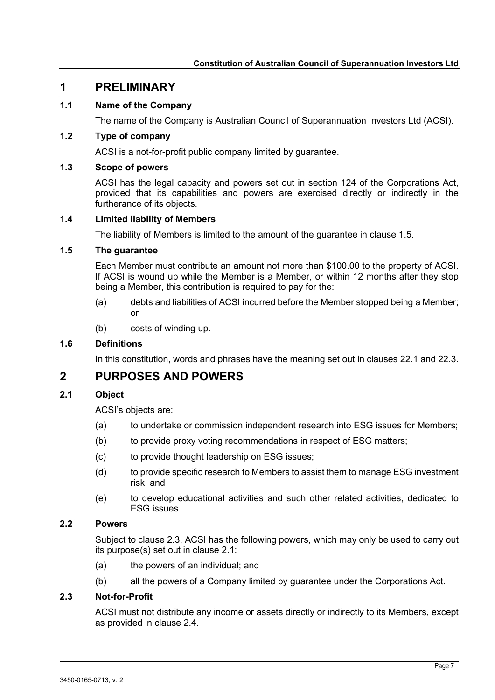# <span id="page-6-0"></span>**1 PRELIMINARY**

# <span id="page-6-1"></span>**1.1 Name of the Company**

The name of the Company is Australian Council of Superannuation Investors Ltd (ACSI).

# <span id="page-6-2"></span>**1.2 Type of company**

ACSI is a not-for-profit public company limited by guarantee.

## <span id="page-6-3"></span>**1.3 Scope of powers**

ACSI has the legal capacity and powers set out in section 124 of the Corporations Act, provided that its capabilities and powers are exercised directly or indirectly in the furtherance of its objects.

## <span id="page-6-4"></span>**1.4 Limited liability of Members**

The liability of Members is limited to the amount of the guarantee in clause [1.5.](#page-6-5)

# <span id="page-6-5"></span>**1.5 The guarantee**

Each Member must contribute an amount not more than \$100.00 to the property of ACSI. If ACSI is wound up while the Member is a Member, or within 12 months after they stop being a Member, this contribution is required to pay for the:

- (a) debts and liabilities of ACSI incurred before the Member stopped being a Member; or
- (b) costs of winding up.

## <span id="page-6-6"></span>**1.6 Definitions**

In this constitution, words and phrases have the meaning set out in clauses [22.1](#page-32-2) and [22.3.](#page-33-1)

# <span id="page-6-7"></span>**2 PURPOSES AND POWERS**

## <span id="page-6-8"></span>**2.1 Object**

ACSI's objects are:

- (a) to undertake or commission independent research into ESG issues for Members;
- (b) to provide proxy voting recommendations in respect of ESG matters;
- (c) to provide thought leadership on ESG issues;
- (d) to provide specific research to Members to assist them to manage ESG investment risk; and
- (e) to develop educational activities and such other related activities, dedicated to ESG issues.

# <span id="page-6-9"></span>**2.2 Powers**

Subject to clause [2.3,](#page-6-10) ACSI has the following powers, which may only be used to carry out its purpose(s) set out in clause [2.1:](#page-6-8)

- (a) the powers of an individual; and
- (b) all the powers of a Company limited by guarantee under the Corporations Act.

## <span id="page-6-10"></span>**2.3 Not-for-Profit**

ACSI must not distribute any income or assets directly or indirectly to its Members, except as provided in clause [2.4.](#page-7-0)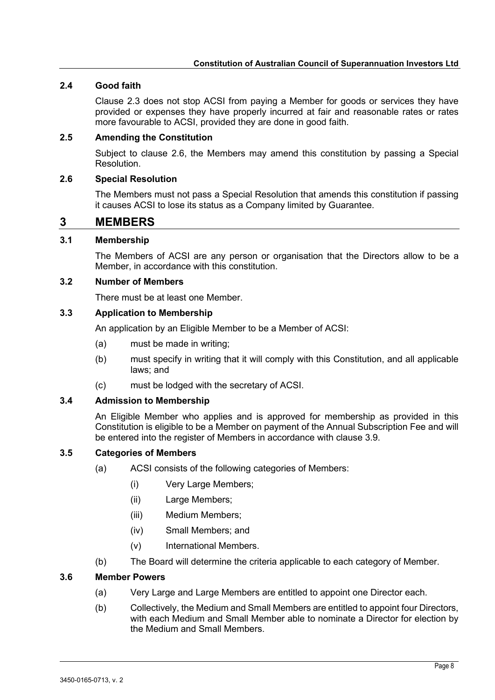# <span id="page-7-0"></span>**2.4 Good faith**

Clause [2.3](#page-6-10) does not stop ACSI from paying a Member for goods or services they have provided or expenses they have properly incurred at fair and reasonable rates or rates more favourable to ACSI, provided they are done in good faith.

## <span id="page-7-1"></span>**2.5 Amending the Constitution**

Subject to clause [2.6,](#page-7-2) the Members may amend this constitution by passing a Special Resolution.

# <span id="page-7-2"></span>**2.6 Special Resolution**

The Members must not pass a Special Resolution that amends this constitution if passing it causes ACSI to lose its status as a Company limited by Guarantee.

# <span id="page-7-3"></span>**3 MEMBERS**

# <span id="page-7-4"></span>**3.1 Membership**

The Members of ACSI are any person or organisation that the Directors allow to be a Member, in accordance with this constitution.

#### <span id="page-7-5"></span>**3.2 Number of Members**

There must be at least one Member.

## <span id="page-7-6"></span>**3.3 Application to Membership**

An application by an Eligible Member to be a Member of ACSI:

- (a) must be made in writing;
- (b) must specify in writing that it will comply with this Constitution, and all applicable laws; and
- (c) must be lodged with the secretary of ACSI.

## <span id="page-7-7"></span>**3.4 Admission to Membership**

An Eligible Member who applies and is approved for membership as provided in this Constitution is eligible to be a Member on payment of the Annual Subscription Fee and will be entered into the register of Members in accordance with clause [3.9.](#page-8-2)

# <span id="page-7-8"></span>**3.5 Categories of Members**

- (a) ACSI consists of the following categories of Members:
	- (i) Very Large Members;
	- (ii) Large Members;
	- (iii) Medium Members;
	- (iv) Small Members; and
	- (v) International Members.
- (b) The Board will determine the criteria applicable to each category of Member.

#### <span id="page-7-11"></span><span id="page-7-10"></span><span id="page-7-9"></span>**3.6 Member Powers**

- (a) Very Large and Large Members are entitled to appoint one Director each.
- (b) Collectively, the Medium and Small Members are entitled to appoint four Directors, with each Medium and Small Member able to nominate a Director for election by the Medium and Small Members.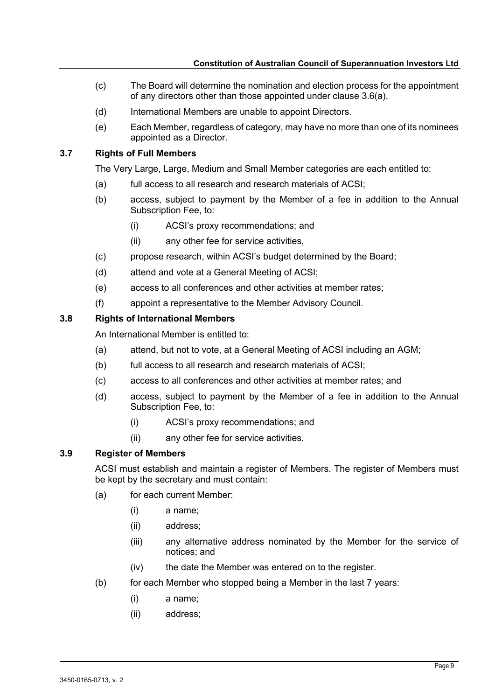- (c) The Board will determine the nomination and election process for the appointment of any directors other than those appointed under clause [3.6\(a\).](#page-7-10)
- (d) International Members are unable to appoint Directors.
- (e) Each Member, regardless of category, may have no more than one of its nominees appointed as a Director.

# <span id="page-8-0"></span>**3.7 Rights of Full Members**

The Very Large, Large, Medium and Small Member categories are each entitled to:

- (a) full access to all research and research materials of ACSI;
- (b) access, subject to payment by the Member of a fee in addition to the Annual Subscription Fee, to:
	- (i) ACSI's proxy recommendations; and
	- (ii) any other fee for service activities,
- (c) propose research, within ACSI's budget determined by the Board;
- (d) attend and vote at a General Meeting of ACSI;
- (e) access to all conferences and other activities at member rates;
- (f) appoint a representative to the Member Advisory Council.

## <span id="page-8-1"></span>**3.8 Rights of International Members**

An International Member is entitled to:

- (a) attend, but not to vote, at a General Meeting of ACSI including an AGM;
- (b) full access to all research and research materials of ACSI;
- (c) access to all conferences and other activities at member rates; and
- (d) access, subject to payment by the Member of a fee in addition to the Annual Subscription Fee, to:
	- (i) ACSI's proxy recommendations; and
	- (ii) any other fee for service activities.

## <span id="page-8-2"></span>**3.9 Register of Members**

ACSI must establish and maintain a register of Members. The register of Members must be kept by the secretary and must contain:

- (a) for each current Member:
	- (i) a name;
	- (ii) address;
	- (iii) any alternative address nominated by the Member for the service of notices; and
	- (iv) the date the Member was entered on to the register.
- (b) for each Member who stopped being a Member in the last 7 years:
	- (i) a name;
	- (ii) address;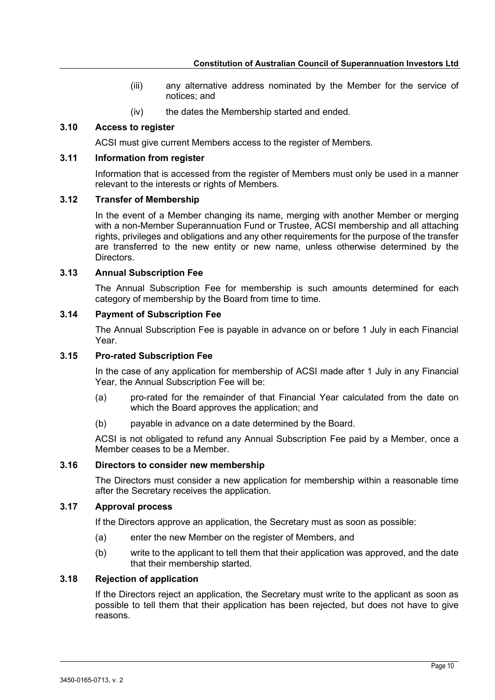- (iii) any alternative address nominated by the Member for the service of notices; and
- (iv) the dates the Membership started and ended.

# <span id="page-9-0"></span>**3.10 Access to register**

ACSI must give current Members access to the register of Members.

## <span id="page-9-1"></span>**3.11 Information from register**

Information that is accessed from the register of Members must only be used in a manner relevant to the interests or rights of Members.

#### <span id="page-9-2"></span>**3.12 Transfer of Membership**

In the event of a Member changing its name, merging with another Member or merging with a non-Member Superannuation Fund or Trustee, ACSI membership and all attaching rights, privileges and obligations and any other requirements for the purpose of the transfer are transferred to the new entity or new name, unless otherwise determined by the Directors.

## <span id="page-9-3"></span>**3.13 Annual Subscription Fee**

The Annual Subscription Fee for membership is such amounts determined for each category of membership by the Board from time to time.

## <span id="page-9-4"></span>**3.14 Payment of Subscription Fee**

The Annual Subscription Fee is payable in advance on or before 1 July in each Financial Year.

## <span id="page-9-5"></span>**3.15 Pro-rated Subscription Fee**

In the case of any application for membership of ACSI made after 1 July in any Financial Year, the Annual Subscription Fee will be:

- (a) pro-rated for the remainder of that Financial Year calculated from the date on which the Board approves the application; and
- (b) payable in advance on a date determined by the Board.

ACSI is not obligated to refund any Annual Subscription Fee paid by a Member, once a Member ceases to be a Member.

## <span id="page-9-6"></span>**3.16 Directors to consider new membership**

The Directors must consider a new application for membership within a reasonable time after the Secretary receives the application.

## <span id="page-9-7"></span>**3.17 Approval process**

If the Directors approve an application, the Secretary must as soon as possible:

- (a) enter the new Member on the register of Members, and
- (b) write to the applicant to tell them that their application was approved, and the date that their membership started.

# <span id="page-9-8"></span>**3.18 Rejection of application**

If the Directors reject an application, the Secretary must write to the applicant as soon as possible to tell them that their application has been rejected, but does not have to give reasons.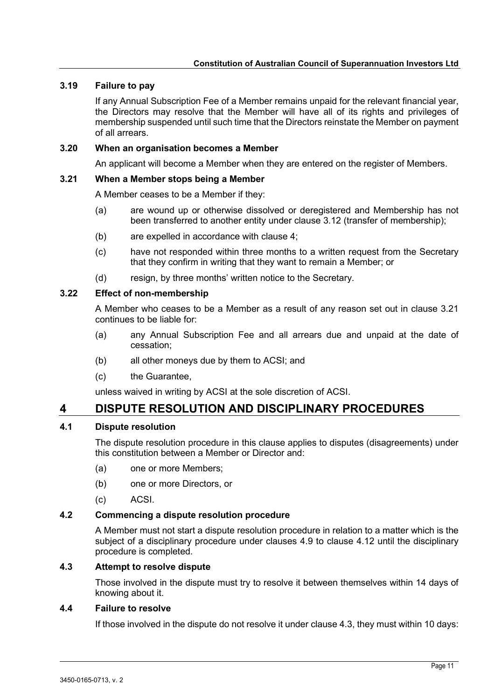## <span id="page-10-0"></span>**3.19 Failure to pay**

If any Annual Subscription Fee of a Member remains unpaid for the relevant financial year, the Directors may resolve that the Member will have all of its rights and privileges of membership suspended until such time that the Directors reinstate the Member on payment of all arrears.

#### <span id="page-10-1"></span>**3.20 When an organisation becomes a Member**

An applicant will become a Member when they are entered on the register of Members.

#### <span id="page-10-2"></span>**3.21 When a Member stops being a Member**

A Member ceases to be a Member if they:

- (a) are wound up or otherwise dissolved or deregistered and Membership has not been transferred to another entity under clause [3.12](#page-9-2) (transfer of membership);
- (b) are expelled in accordance with clause [4;](#page-10-4)
- (c) have not responded within three months to a written request from the Secretary that they confirm in writing that they want to remain a Member; or
- (d) resign, by three months' written notice to the Secretary.

## <span id="page-10-3"></span>**3.22 Effect of non-membership**

A Member who ceases to be a Member as a result of any reason set out in clause [3.21](#page-10-2) continues to be liable for:

- (a) any Annual Subscription Fee and all arrears due and unpaid at the date of cessation;
- (b) all other moneys due by them to ACSI; and
- (c) the Guarantee,

unless waived in writing by ACSI at the sole discretion of ACSI.

# <span id="page-10-4"></span>**4 DISPUTE RESOLUTION AND DISCIPLINARY PROCEDURES**

# <span id="page-10-5"></span>**4.1 Dispute resolution**

The dispute resolution procedure in this clause applies to disputes (disagreements) under this constitution between a Member or Director and:

- (a) one or more Members;
- (b) one or more Directors, or
- (c) ACSI.

## <span id="page-10-6"></span>**4.2 Commencing a dispute resolution procedure**

A Member must not start a dispute resolution procedure in relation to a matter which is the subject of a disciplinary procedure under clauses [4.9](#page-11-4) to clause [4.12](#page-12-2) until the disciplinary procedure is completed.

#### <span id="page-10-7"></span>**4.3 Attempt to resolve dispute**

Those involved in the dispute must try to resolve it between themselves within 14 days of knowing about it.

#### <span id="page-10-8"></span>**4.4 Failure to resolve**

If those involved in the dispute do not resolve it under clause [4.3,](#page-10-7) they must within 10 days: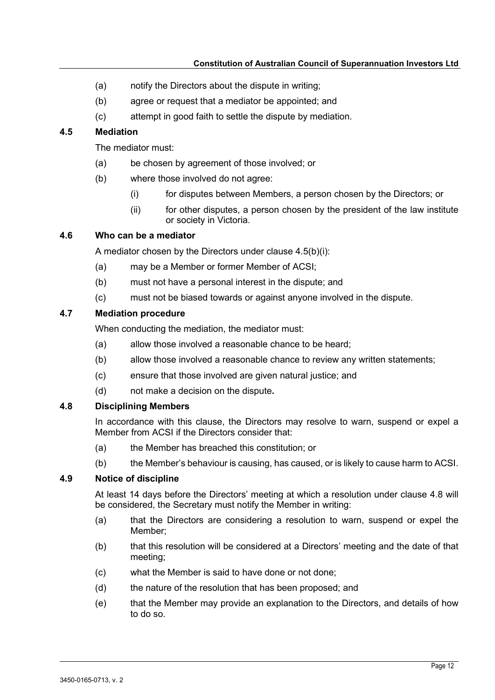- (a) notify the Directors about the dispute in writing;
- (b) agree or request that a mediator be appointed; and
- (c) attempt in good faith to settle the dispute by mediation.

# <span id="page-11-0"></span>**4.5 Mediation**

The mediator must:

- (a) be chosen by agreement of those involved; or
- <span id="page-11-5"></span>(b) where those involved do not agree:
	- (i) for disputes between Members, a person chosen by the Directors; or
	- $(ii)$  for other disputes, a person chosen by the president of the law institute or society in Victoria.

# <span id="page-11-1"></span>**4.6 Who can be a mediator**

A mediator chosen by the Directors under clause [4.5\(b\)\(i\):](#page-11-5)

- (a) may be a Member or former Member of ACSI;
- (b) must not have a personal interest in the dispute; and
- (c) must not be biased towards or against anyone involved in the dispute.

## <span id="page-11-2"></span>**4.7 Mediation procedure**

When conducting the mediation, the mediator must:

- (a) allow those involved a reasonable chance to be heard;
- (b) allow those involved a reasonable chance to review any written statements;
- (c) ensure that those involved are given natural justice; and
- (d) not make a decision on the dispute**.**

#### <span id="page-11-3"></span>**4.8 Disciplining Members**

In accordance with this clause, the Directors may resolve to warn, suspend or expel a Member from ACSI if the Directors consider that:

- (a) the Member has breached this constitution; or
- (b) the Member's behaviour is causing, has caused, or is likely to cause harm to ACSI.

#### <span id="page-11-4"></span>**4.9 Notice of discipline**

At least 14 days before the Directors' meeting at which a resolution under clause [4.8](#page-11-3) will be considered, the Secretary must notify the Member in writing:

- (a) that the Directors are considering a resolution to warn, suspend or expel the Member;
- (b) that this resolution will be considered at a Directors' meeting and the date of that meeting;
- (c) what the Member is said to have done or not done;
- (d) the nature of the resolution that has been proposed; and
- (e) that the Member may provide an explanation to the Directors, and details of how to do so.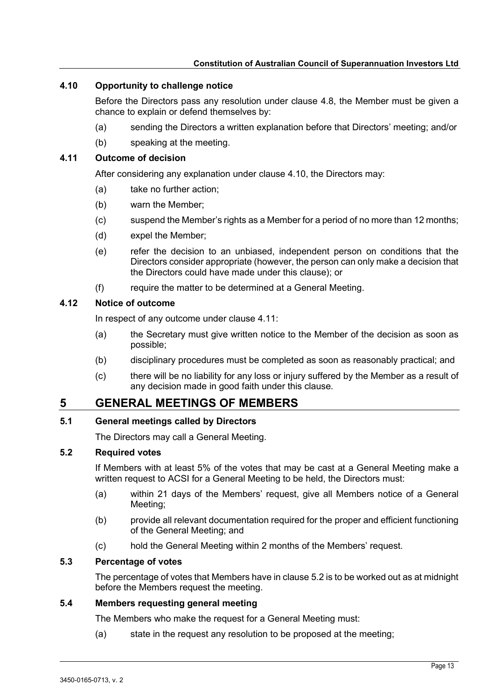# <span id="page-12-0"></span>**4.10 Opportunity to challenge notice**

Before the Directors pass any resolution under clause [4.8,](#page-11-3) the Member must be given a chance to explain or defend themselves by:

- (a) sending the Directors a written explanation before that Directors' meeting; and/or
- (b) speaking at the meeting.

## <span id="page-12-1"></span>**4.11 Outcome of decision**

After considering any explanation under clause [4.10,](#page-12-0) the Directors may:

- (a) take no further action;
- (b) warn the Member;
- (c) suspend the Member's rights as a Member for a period of no more than 12 months;
- (d) expel the Member;
- (e) refer the decision to an unbiased, independent person on conditions that the Directors consider appropriate (however, the person can only make a decision that the Directors could have made under this clause); or
- (f) require the matter to be determined at a General Meeting.

# <span id="page-12-2"></span>**4.12 Notice of outcome**

In respect of any outcome under clause [4.11:](#page-12-1)

- (a) the Secretary must give written notice to the Member of the decision as soon as possible;
- (b) disciplinary procedures must be completed as soon as reasonably practical; and
- (c) there will be no liability for any loss or injury suffered by the Member as a result of any decision made in good faith under this clause.

# <span id="page-12-3"></span>**5 GENERAL MEETINGS OF MEMBERS**

# <span id="page-12-4"></span>**5.1 General meetings called by Directors**

The Directors may call a General Meeting.

# <span id="page-12-5"></span>**5.2 Required votes**

If Members with at least 5% of the votes that may be cast at a General Meeting make a written request to ACSI for a General Meeting to be held, the Directors must:

- (a) within 21 days of the Members' request, give all Members notice of a General Meeting;
- (b) provide all relevant documentation required for the proper and efficient functioning of the General Meeting; and
- (c) hold the General Meeting within 2 months of the Members' request.

# <span id="page-12-6"></span>**5.3 Percentage of votes**

The percentage of votes that Members have in clause [5.2](#page-12-5) is to be worked out as at midnight before the Members request the meeting.

# <span id="page-12-7"></span>**5.4 Members requesting general meeting**

The Members who make the request for a General Meeting must:

(a) state in the request any resolution to be proposed at the meeting;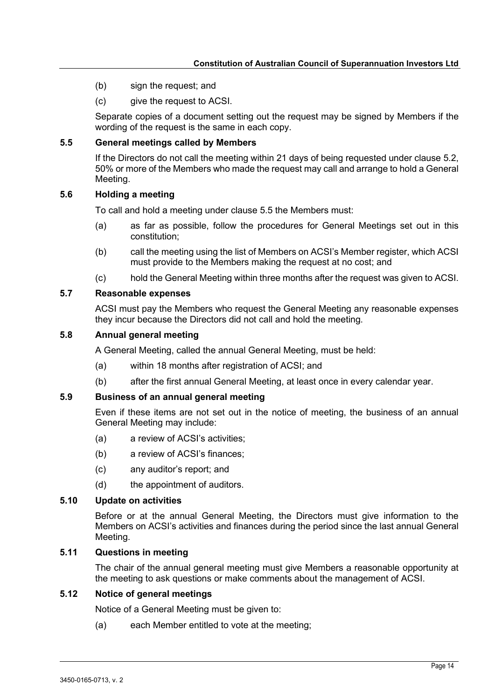- (b) sign the request; and
- (c) give the request to ACSI.

Separate copies of a document setting out the request may be signed by Members if the wording of the request is the same in each copy.

#### <span id="page-13-0"></span>**5.5 General meetings called by Members**

If the Directors do not call the meeting within 21 days of being requested under clause [5.2,](#page-12-5) 50% or more of the Members who made the request may call and arrange to hold a General Meeting.

#### <span id="page-13-1"></span>**5.6 Holding a meeting**

To call and hold a meeting under clause [5.5](#page-13-0) the Members must:

- (a) as far as possible, follow the procedures for General Meetings set out in this constitution;
- (b) call the meeting using the list of Members on ACSI's Member register, which ACSI must provide to the Members making the request at no cost; and
- (c) hold the General Meeting within three months after the request was given to ACSI.

#### <span id="page-13-2"></span>**5.7 Reasonable expenses**

ACSI must pay the Members who request the General Meeting any reasonable expenses they incur because the Directors did not call and hold the meeting.

#### <span id="page-13-3"></span>**5.8 Annual general meeting**

A General Meeting, called the annual General Meeting, must be held:

- (a) within 18 months after registration of ACSI; and
- (b) after the first annual General Meeting, at least once in every calendar year.

# <span id="page-13-4"></span>**5.9 Business of an annual general meeting**

Even if these items are not set out in the notice of meeting, the business of an annual General Meeting may include:

- (a) a review of ACSI's activities;
- (b) a review of ACSI's finances;
- (c) any auditor's report; and
- (d) the appointment of auditors.

#### <span id="page-13-5"></span>**5.10 Update on activities**

Before or at the annual General Meeting, the Directors must give information to the Members on ACSI's activities and finances during the period since the last annual General Meeting.

#### <span id="page-13-6"></span>**5.11 Questions in meeting**

The chair of the annual general meeting must give Members a reasonable opportunity at the meeting to ask questions or make comments about the management of ACSI.

#### <span id="page-13-7"></span>**5.12 Notice of general meetings**

Notice of a General Meeting must be given to:

(a) each Member entitled to vote at the meeting;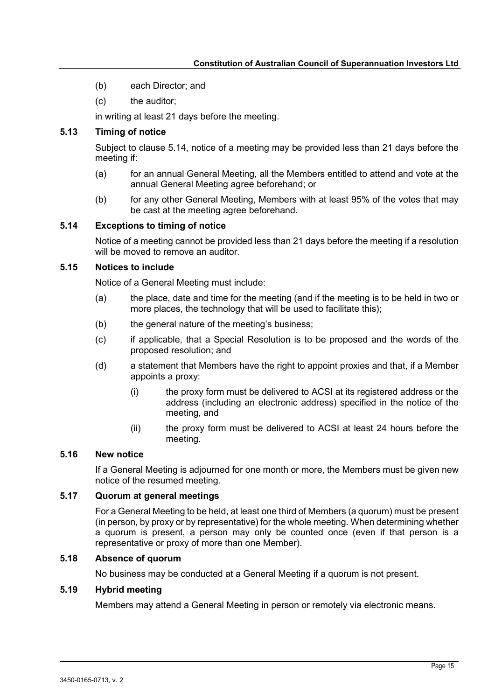- (b) each Director; and
- (c) the auditor;

in writing at least 21 days before the meeting.

# <span id="page-14-0"></span>**5.13 Timing of notice**

Subject to clause [5.14,](#page-14-1) notice of a meeting may be provided less than 21 days before the meeting if:

- (a) for an annual General Meeting, all the Members entitled to attend and vote at the annual General Meeting agree beforehand; or
- (b) for any other General Meeting, Members with at least 95% of the votes that may be cast at the meeting agree beforehand.

# <span id="page-14-1"></span>**5.14 Exceptions to timing of notice**

Notice of a meeting cannot be provided less than 21 days before the meeting if a resolution will be moved to remove an auditor

# <span id="page-14-2"></span>**5.15 Notices to include**

Notice of a General Meeting must include:

- (a) the place, date and time for the meeting (and if the meeting is to be held in two or more places, the technology that will be used to facilitate this);
- (b) the general nature of the meeting's business;
- (c) if applicable, that a Special Resolution is to be proposed and the words of the proposed resolution; and
- (d) a statement that Members have the right to appoint proxies and that, if a Member appoints a proxy:
	- (i) the proxy form must be delivered to ACSI at its registered address or the address (including an electronic address) specified in the notice of the meeting, and
	- (ii) the proxy form must be delivered to ACSI at least 24 hours before the meeting.

# <span id="page-14-3"></span>**5.16 New notice**

If a General Meeting is adjourned for one month or more, the Members must be given new notice of the resumed meeting.

# <span id="page-14-4"></span>**5.17 Quorum at general meetings**

For a General Meeting to be held, at least one third of Members (a quorum) must be present (in person, by proxy or by representative) for the whole meeting. When determining whether a quorum is present, a person may only be counted once (even if that person is a representative or proxy of more than one Member).

## <span id="page-14-5"></span>**5.18 Absence of quorum**

No business may be conducted at a General Meeting if a quorum is not present.

# <span id="page-14-6"></span>**5.19 Hybrid meeting**

Members may attend a General Meeting in person or remotely via electronic means.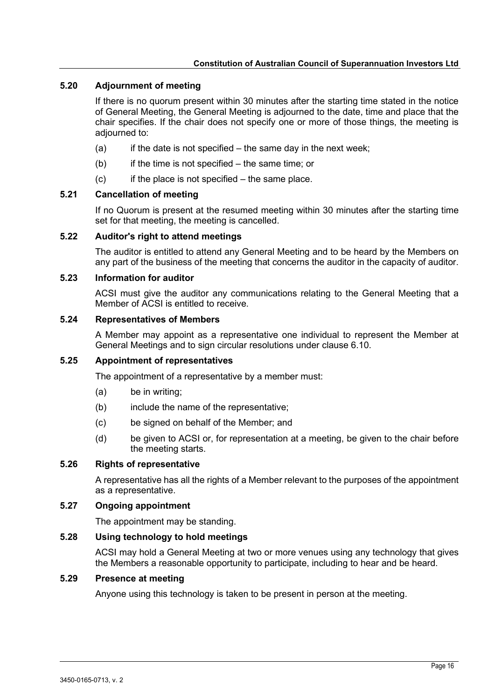# <span id="page-15-0"></span>**5.20 Adjournment of meeting**

If there is no quorum present within 30 minutes after the starting time stated in the notice of General Meeting, the General Meeting is adjourned to the date, time and place that the chair specifies. If the chair does not specify one or more of those things, the meeting is adjourned to:

- $(a)$  if the date is not specified the same day in the next week;
- $(b)$  if the time is not specified the same time; or
- $(c)$  if the place is not specified the same place.

#### <span id="page-15-1"></span>**5.21 Cancellation of meeting**

If no Quorum is present at the resumed meeting within 30 minutes after the starting time set for that meeting, the meeting is cancelled.

#### <span id="page-15-2"></span>**5.22 Auditor's right to attend meetings**

The auditor is entitled to attend any General Meeting and to be heard by the Members on any part of the business of the meeting that concerns the auditor in the capacity of auditor.

#### <span id="page-15-3"></span>**5.23 Information for auditor**

ACSI must give the auditor any communications relating to the General Meeting that a Member of ACSI is entitled to receive.

#### <span id="page-15-4"></span>**5.24 Representatives of Members**

A Member may appoint as a representative one individual to represent the Member at General Meetings and to sign circular resolutions under clause [6.10.](#page-17-5)

# <span id="page-15-5"></span>**5.25 Appointment of representatives**

The appointment of a representative by a member must:

- (a) be in writing;
- (b) include the name of the representative;
- (c) be signed on behalf of the Member; and
- (d) be given to ACSI or, for representation at a meeting, be given to the chair before the meeting starts.

#### <span id="page-15-6"></span>**5.26 Rights of representative**

A representative has all the rights of a Member relevant to the purposes of the appointment as a representative.

#### <span id="page-15-7"></span>**5.27 Ongoing appointment**

The appointment may be standing.

# <span id="page-15-8"></span>**5.28 Using technology to hold meetings**

ACSI may hold a General Meeting at two or more venues using any technology that gives the Members a reasonable opportunity to participate, including to hear and be heard.

# <span id="page-15-9"></span>**5.29 Presence at meeting**

Anyone using this technology is taken to be present in person at the meeting.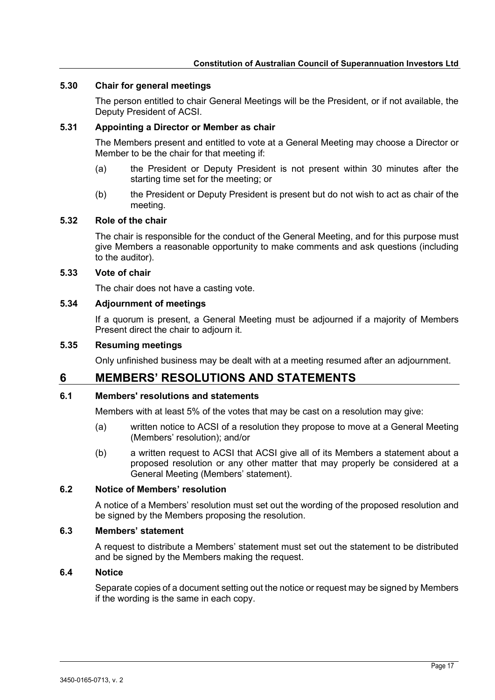#### <span id="page-16-0"></span>**5.30 Chair for general meetings**

The person entitled to chair General Meetings will be the President, or if not available, the Deputy President of ACSI.

#### <span id="page-16-1"></span>**5.31 Appointing a Director or Member as chair**

The Members present and entitled to vote at a General Meeting may choose a Director or Member to be the chair for that meeting if:

- (a) the President or Deputy President is not present within 30 minutes after the starting time set for the meeting; or
- (b) the President or Deputy President is present but do not wish to act as chair of the meeting.

#### <span id="page-16-2"></span>**5.32 Role of the chair**

The chair is responsible for the conduct of the General Meeting, and for this purpose must give Members a reasonable opportunity to make comments and ask questions (including to the auditor).

#### <span id="page-16-3"></span>**5.33 Vote of chair**

The chair does not have a casting vote.

#### <span id="page-16-4"></span>**5.34 Adjournment of meetings**

If a quorum is present, a General Meeting must be adjourned if a majority of Members Present direct the chair to adjourn it.

#### <span id="page-16-5"></span>**5.35 Resuming meetings**

Only unfinished business may be dealt with at a meeting resumed after an adjournment.

# <span id="page-16-6"></span>**6 MEMBERS' RESOLUTIONS AND STATEMENTS**

#### <span id="page-16-11"></span><span id="page-16-7"></span>**6.1 Members' resolutions and statements**

Members with at least 5% of the votes that may be cast on a resolution may give:

- (a) written notice to ACSI of a resolution they propose to move at a General Meeting (Members' resolution); and/or
- (b) a written request to ACSI that ACSI give all of its Members a statement about a proposed resolution or any other matter that may properly be considered at a General Meeting (Members' statement).

## <span id="page-16-8"></span>**6.2 Notice of Members' resolution**

A notice of a Members' resolution must set out the wording of the proposed resolution and be signed by the Members proposing the resolution.

#### <span id="page-16-9"></span>**6.3 Members' statement**

A request to distribute a Members' statement must set out the statement to be distributed and be signed by the Members making the request.

#### <span id="page-16-10"></span>**6.4 Notice**

Separate copies of a document setting out the notice or request may be signed by Members if the wording is the same in each copy.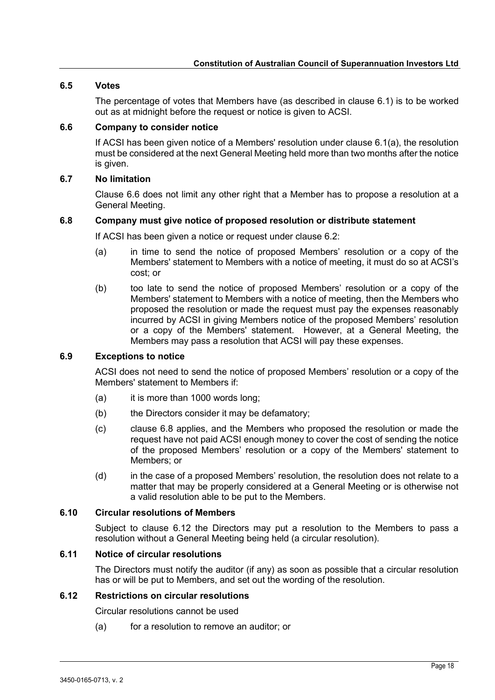# <span id="page-17-0"></span>**6.5 Votes**

The percentage of votes that Members have (as described in clause [6.1\)](#page-16-7) is to be worked out as at midnight before the request or notice is given to ACSI.

## <span id="page-17-1"></span>**6.6 Company to consider notice**

If ACSI has been given notice of a Members' resolution under clause [6.1\(a\),](#page-16-11) the resolution must be considered at the next General Meeting held more than two months after the notice is given.

# <span id="page-17-2"></span>**6.7 No limitation**

Clause [6.6](#page-17-1) does not limit any other right that a Member has to propose a resolution at a General Meeting.

## <span id="page-17-3"></span>**6.8 Company must give notice of proposed resolution or distribute statement**

If ACSI has been given a notice or request under clause [6.2:](#page-16-8)

- (a) in time to send the notice of proposed Members' resolution or a copy of the Members' statement to Members with a notice of meeting, it must do so at ACSI's cost; or
- (b) too late to send the notice of proposed Members' resolution or a copy of the Members' statement to Members with a notice of meeting, then the Members who proposed the resolution or made the request must pay the expenses reasonably incurred by ACSI in giving Members notice of the proposed Members' resolution or a copy of the Members' statement. However, at a General Meeting, the Members may pass a resolution that ACSI will pay these expenses.

## <span id="page-17-4"></span>**6.9 Exceptions to notice**

ACSI does not need to send the notice of proposed Members' resolution or a copy of the Members' statement to Members if:

- (a) it is more than 1000 words long;
- (b) the Directors consider it may be defamatory;
- (c) clause [6.8](#page-17-3) applies, and the Members who proposed the resolution or made the request have not paid ACSI enough money to cover the cost of sending the notice of the proposed Members' resolution or a copy of the Members' statement to Members; or
- (d) in the case of a proposed Members' resolution, the resolution does not relate to a matter that may be properly considered at a General Meeting or is otherwise not a valid resolution able to be put to the Members.

## <span id="page-17-5"></span>**6.10 Circular resolutions of Members**

Subject to clause [6.12](#page-17-7) the Directors may put a resolution to the Members to pass a resolution without a General Meeting being held (a circular resolution).

# <span id="page-17-6"></span>**6.11 Notice of circular resolutions**

The Directors must notify the auditor (if any) as soon as possible that a circular resolution has or will be put to Members, and set out the wording of the resolution.

# <span id="page-17-7"></span>**6.12 Restrictions on circular resolutions**

Circular resolutions cannot be used

(a) for a resolution to remove an auditor; or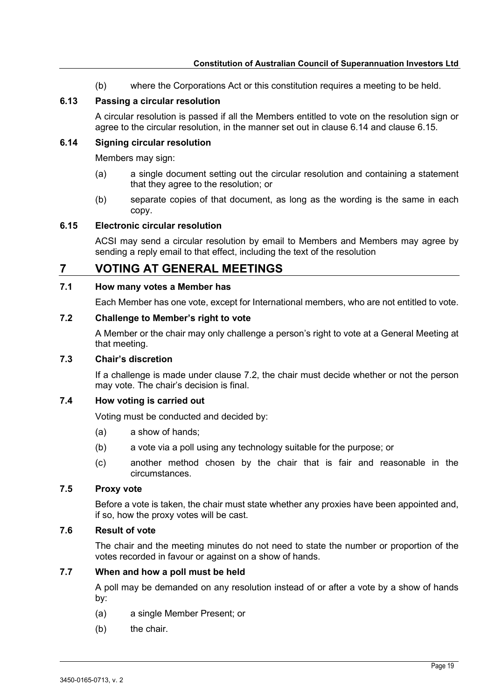(b) where the Corporations Act or this constitution requires a meeting to be held.

#### <span id="page-18-0"></span>**6.13 Passing a circular resolution**

A circular resolution is passed if all the Members entitled to vote on the resolution sign or agree to the circular resolution, in the manner set out in clause [6.14](#page-18-1) and clause [6.15.](#page-18-2)

#### <span id="page-18-1"></span>**6.14 Signing circular resolution**

Members may sign:

- (a) a single document setting out the circular resolution and containing a statement that they agree to the resolution; or
- (b) separate copies of that document, as long as the wording is the same in each copy.

## <span id="page-18-2"></span>**6.15 Electronic circular resolution**

ACSI may send a circular resolution by email to Members and Members may agree by sending a reply email to that effect, including the text of the resolution

# <span id="page-18-3"></span>**7 VOTING AT GENERAL MEETINGS**

#### <span id="page-18-4"></span>**7.1 How many votes a Member has**

Each Member has one vote, except for International members, who are not entitled to vote.

#### <span id="page-18-5"></span>**7.2 Challenge to Member's right to vote**

A Member or the chair may only challenge a person's right to vote at a General Meeting at that meeting.

#### <span id="page-18-6"></span>**7.3 Chair's discretion**

If a challenge is made under clause [7.2,](#page-18-5) the chair must decide whether or not the person may vote. The chair's decision is final.

## <span id="page-18-7"></span>**7.4 How voting is carried out**

Voting must be conducted and decided by:

- (a) a show of hands;
- (b) a vote via a poll using any technology suitable for the purpose; or
- (c) another method chosen by the chair that is fair and reasonable in the circumstances.

## <span id="page-18-8"></span>**7.5 Proxy vote**

Before a vote is taken, the chair must state whether any proxies have been appointed and, if so, how the proxy votes will be cast.

#### <span id="page-18-9"></span>**7.6 Result of vote**

The chair and the meeting minutes do not need to state the number or proportion of the votes recorded in favour or against on a show of hands.

#### <span id="page-18-10"></span>**7.7 When and how a poll must be held**

A poll may be demanded on any resolution instead of or after a vote by a show of hands by:

- (a) a single Member Present; or
- (b) the chair.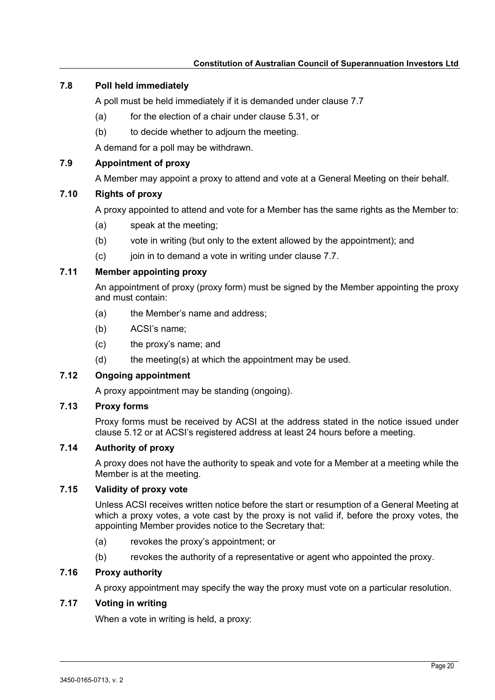# <span id="page-19-0"></span>**7.8 Poll held immediately**

A poll must be held immediately if it is demanded under clause [7.7](#page-18-10)

- (a) for the election of a chair under clause 5.31, or
- (b) to decide whether to adjourn the meeting.

A demand for a poll may be withdrawn.

# <span id="page-19-1"></span>**7.9 Appointment of proxy**

A Member may appoint a proxy to attend and vote at a General Meeting on their behalf.

## <span id="page-19-2"></span>**7.10 Rights of proxy**

A proxy appointed to attend and vote for a Member has the same rights as the Member to:

- (a) speak at the meeting;
- (b) vote in writing (but only to the extent allowed by the appointment); and
- (c) join in to demand a vote in writing under clause [7.7.](#page-18-10)

# <span id="page-19-3"></span>**7.11 Member appointing proxy**

An appointment of proxy (proxy form) must be signed by the Member appointing the proxy and must contain:

- (a) the Member's name and address;
- (b) ACSI's name;
- (c) the proxy's name; and
- $(d)$  the meeting(s) at which the appointment may be used.

## <span id="page-19-4"></span>**7.12 Ongoing appointment**

A proxy appointment may be standing (ongoing).

# <span id="page-19-5"></span>**7.13 Proxy forms**

Proxy forms must be received by ACSI at the address stated in the notice issued under clause [5.12](#page-13-7) or at ACSI's registered address at least 24 hours before a meeting.

## <span id="page-19-6"></span>**7.14 Authority of proxy**

A proxy does not have the authority to speak and vote for a Member at a meeting while the Member is at the meeting.

# <span id="page-19-7"></span>**7.15 Validity of proxy vote**

Unless ACSI receives written notice before the start or resumption of a General Meeting at which a proxy votes, a vote cast by the proxy is not valid if, before the proxy votes, the appointing Member provides notice to the Secretary that:

- (a) revokes the proxy's appointment; or
- (b) revokes the authority of a representative or agent who appointed the proxy.

# <span id="page-19-8"></span>**7.16 Proxy authority**

A proxy appointment may specify the way the proxy must vote on a particular resolution.

## <span id="page-19-9"></span>**7.17 Voting in writing**

When a vote in writing is held, a proxy: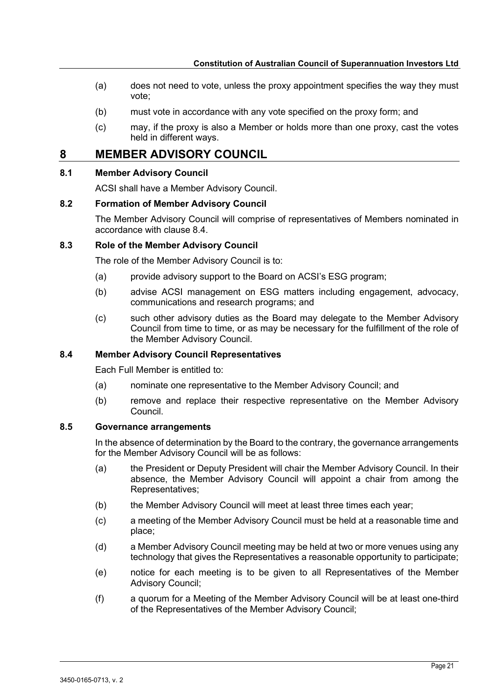- (a) does not need to vote, unless the proxy appointment specifies the way they must vote;
- (b) must vote in accordance with any vote specified on the proxy form; and
- (c) may, if the proxy is also a Member or holds more than one proxy, cast the votes held in different ways.

# <span id="page-20-0"></span>**8 MEMBER ADVISORY COUNCIL**

# <span id="page-20-1"></span>**8.1 Member Advisory Council**

ACSI shall have a Member Advisory Council.

#### <span id="page-20-2"></span>**8.2 Formation of Member Advisory Council**

The Member Advisory Council will comprise of representatives of Members nominated in accordance with clause 8.4.

## <span id="page-20-3"></span>**8.3 Role of the Member Advisory Council**

The role of the Member Advisory Council is to:

- (a) provide advisory support to the Board on ACSI's ESG program;
- (b) advise ACSI management on ESG matters including engagement, advocacy, communications and research programs; and
- (c) such other advisory duties as the Board may delegate to the Member Advisory Council from time to time, or as may be necessary for the fulfillment of the role of the Member Advisory Council.

## <span id="page-20-4"></span>**8.4 Member Advisory Council Representatives**

Each Full Member is entitled to:

- (a) nominate one representative to the Member Advisory Council; and
- (b) remove and replace their respective representative on the Member Advisory Council.

## <span id="page-20-5"></span>**8.5 Governance arrangements**

In the absence of determination by the Board to the contrary, the governance arrangements for the Member Advisory Council will be as follows:

- (a) the President or Deputy President will chair the Member Advisory Council. In their absence, the Member Advisory Council will appoint a chair from among the Representatives;
- (b) the Member Advisory Council will meet at least three times each year;
- (c) a meeting of the Member Advisory Council must be held at a reasonable time and place;
- (d) a Member Advisory Council meeting may be held at two or more venues using any technology that gives the Representatives a reasonable opportunity to participate;
- (e) notice for each meeting is to be given to all Representatives of the Member Advisory Council;
- (f) a quorum for a Meeting of the Member Advisory Council will be at least one-third of the Representatives of the Member Advisory Council;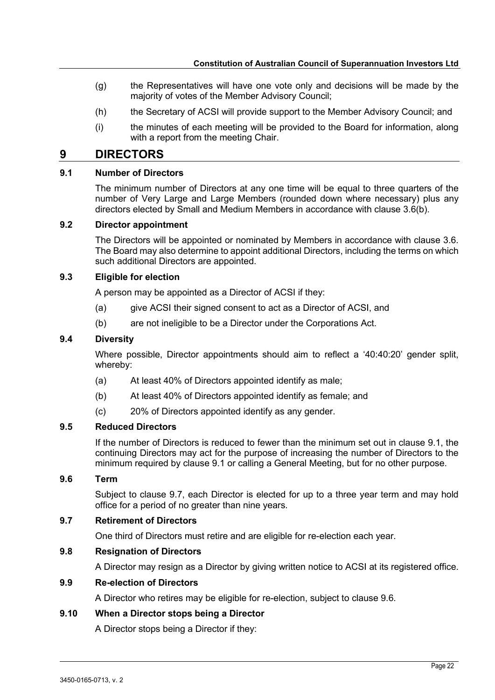- (g) the Representatives will have one vote only and decisions will be made by the majority of votes of the Member Advisory Council;
- (h) the Secretary of ACSI will provide support to the Member Advisory Council; and
- (i) the minutes of each meeting will be provided to the Board for information, along with a report from the meeting Chair.

# <span id="page-21-0"></span>**9 DIRECTORS**

# <span id="page-21-1"></span>**9.1 Number of Directors**

The minimum number of Directors at any one time will be equal to three quarters of the number of Very Large and Large Members (rounded down where necessary) plus any directors elected by Small and Medium Members in accordance with clause [3.6\(b\).](#page-7-11)

#### <span id="page-21-2"></span>**9.2 Director appointment**

The Directors will be appointed or nominated by Members in accordance with clause [3.6.](#page-7-9) The Board may also determine to appoint additional Directors, including the terms on which such additional Directors are appointed.

#### <span id="page-21-3"></span>**9.3 Eligible for election**

A person may be appointed as a Director of ACSI if they:

- (a) give ACSI their signed consent to act as a Director of ACSI, and
- (b) are not ineligible to be a Director under the Corporations Act.

## <span id="page-21-4"></span>**9.4 Diversity**

Where possible, Director appointments should aim to reflect a '40:40:20' gender split, whereby:

- (a) At least 40% of Directors appointed identify as male;
- (b) At least 40% of Directors appointed identify as female; and
- (c) 20% of Directors appointed identify as any gender.

## <span id="page-21-5"></span>**9.5 Reduced Directors**

If the number of Directors is reduced to fewer than the minimum set out in clause [9.1,](#page-21-1) the continuing Directors may act for the purpose of increasing the number of Directors to the minimum required by clause 9.1 or calling a General Meeting, but for no other purpose.

# <span id="page-21-6"></span>**9.6 Term**

Subject to clause [9.7,](#page-21-7) each Director is elected for up to a three year term and may hold office for a period of no greater than nine years.

## <span id="page-21-7"></span>**9.7 Retirement of Directors**

One third of Directors must retire and are eligible for re-election each year.

# <span id="page-21-8"></span>**9.8 Resignation of Directors**

A Director may resign as a Director by giving written notice to ACSI at its registered office.

# <span id="page-21-9"></span>**9.9 Re-election of Directors**

A Director who retires may be eligible for re-election, subject to clause [9.6.](#page-21-6)

## <span id="page-21-10"></span>**9.10 When a Director stops being a Director**

A Director stops being a Director if they: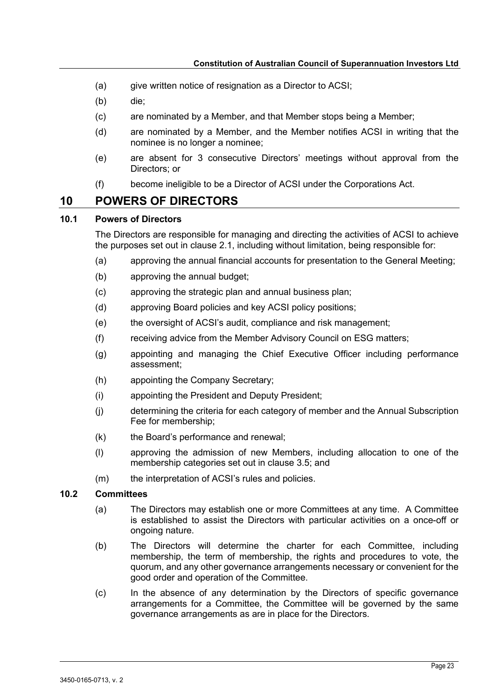- (a) give written notice of resignation as a Director to ACSI;
- (b) die;
- (c) are nominated by a Member, and that Member stops being a Member;
- (d) are nominated by a Member, and the Member notifies ACSI in writing that the nominee is no longer a nominee;
- (e) are absent for 3 consecutive Directors' meetings without approval from the Directors; or
- (f) become ineligible to be a Director of ACSI under the Corporations Act.

# <span id="page-22-0"></span>**10 POWERS OF DIRECTORS**

#### <span id="page-22-1"></span>**10.1 Powers of Directors**

The Directors are responsible for managing and directing the activities of ACSI to achieve the purposes set out in clause [2.1,](#page-6-8) including without limitation, being responsible for:

- (a) approving the annual financial accounts for presentation to the General Meeting;
- (b) approving the annual budget;
- (c) approving the strategic plan and annual business plan;
- (d) approving Board policies and key ACSI policy positions;
- (e) the oversight of ACSI's audit, compliance and risk management;
- (f) receiving advice from the Member Advisory Council on ESG matters;
- (g) appointing and managing the Chief Executive Officer including performance assessment;
- (h) appointing the Company Secretary;
- (i) appointing the President and Deputy President;
- (j) determining the criteria for each category of member and the Annual Subscription Fee for membership;
- (k) the Board's performance and renewal;
- (l) approving the admission of new Members, including allocation to one of the membership categories set out in clause [3.5;](#page-7-8) and
- (m) the interpretation of ACSI's rules and policies.

# <span id="page-22-2"></span>**10.2 Committees**

- (a) The Directors may establish one or more Committees at any time. A Committee is established to assist the Directors with particular activities on a once-off or ongoing nature.
- (b) The Directors will determine the charter for each Committee, including membership, the term of membership, the rights and procedures to vote, the quorum, and any other governance arrangements necessary or convenient for the good order and operation of the Committee.
- (c) In the absence of any determination by the Directors of specific governance arrangements for a Committee, the Committee will be governed by the same governance arrangements as are in place for the Directors.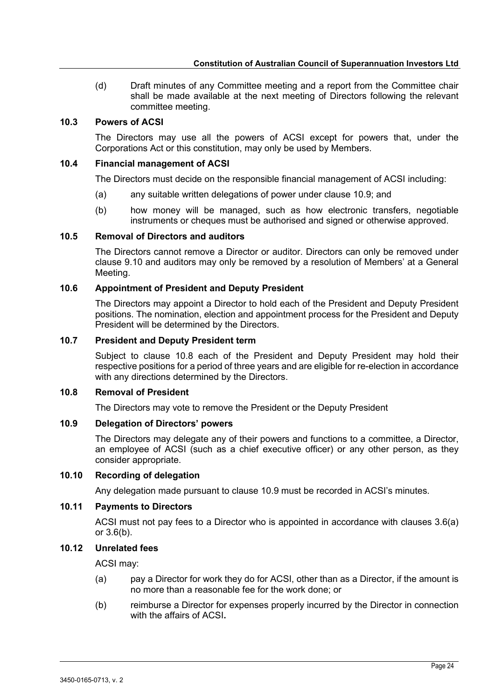(d) Draft minutes of any Committee meeting and a report from the Committee chair shall be made available at the next meeting of Directors following the relevant committee meeting.

#### <span id="page-23-0"></span>**10.3 Powers of ACSI**

The Directors may use all the powers of ACSI except for powers that, under the Corporations Act or this constitution, may only be used by Members.

#### <span id="page-23-1"></span>**10.4 Financial management of ACSI**

The Directors must decide on the responsible financial management of ACSI including:

- (a) any suitable written delegations of power under clause [10.9;](#page-23-6) and
- (b) how money will be managed, such as how electronic transfers, negotiable instruments or cheques must be authorised and signed or otherwise approved.

#### <span id="page-23-2"></span>**10.5 Removal of Directors and auditors**

The Directors cannot remove a Director or auditor. Directors can only be removed under clause [9.10](#page-21-10) and auditors may only be removed by a resolution of Members' at a General Meeting.

#### <span id="page-23-3"></span>**10.6 Appointment of President and Deputy President**

The Directors may appoint a Director to hold each of the President and Deputy President positions. The nomination, election and appointment process for the President and Deputy President will be determined by the Directors.

# <span id="page-23-4"></span>**10.7 President and Deputy President term**

Subject to clause [10.8](#page-23-5) each of the President and Deputy President may hold their respective positions for a period of three years and are eligible for re-election in accordance with any directions determined by the Directors.

#### <span id="page-23-5"></span>**10.8 Removal of President**

The Directors may vote to remove the President or the Deputy President

## <span id="page-23-6"></span>**10.9 Delegation of Directors' powers**

The Directors may delegate any of their powers and functions to a committee, a Director, an employee of ACSI (such as a chief executive officer) or any other person, as they consider appropriate.

#### <span id="page-23-7"></span>**10.10 Recording of delegation**

Any delegation made pursuant to clause [10.9](#page-23-6) must be recorded in ACSI's minutes.

## <span id="page-23-8"></span>**10.11 Payments to Directors**

ACSI must not pay fees to a Director who is appointed in accordance with clauses [3.6\(a\)](#page-7-10) or [3.6\(b\).](#page-7-11)

# <span id="page-23-9"></span>**10.12 Unrelated fees**

ACSI may:

- (a) pay a Director for work they do for ACSI, other than as a Director, if the amount is no more than a reasonable fee for the work done; or
- (b) reimburse a Director for expenses properly incurred by the Director in connection with the affairs of ACSI**.**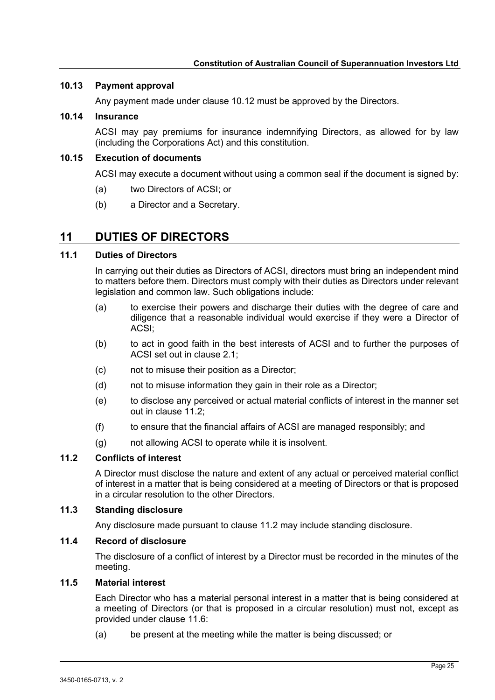#### <span id="page-24-0"></span>**10.13 Payment approval**

Any payment made under clause [10.12](#page-23-9) must be approved by the Directors.

#### <span id="page-24-1"></span>**10.14 Insurance**

ACSI may pay premiums for insurance indemnifying Directors, as allowed for by law (including the Corporations Act) and this constitution.

#### <span id="page-24-2"></span>**10.15 Execution of documents**

ACSI may execute a document without using a common seal if the document is signed by:

- (a) two Directors of ACSI; or
- (b) a Director and a Secretary.

# <span id="page-24-3"></span>**11 DUTIES OF DIRECTORS**

# <span id="page-24-4"></span>**11.1 Duties of Directors**

In carrying out their duties as Directors of ACSI, directors must bring an independent mind to matters before them. Directors must comply with their duties as Directors under relevant legislation and common law. Such obligations include:

- (a) to exercise their powers and discharge their duties with the degree of care and diligence that a reasonable individual would exercise if they were a Director of ACSI;
- (b) to act in good faith in the best interests of ACSI and to further the purposes of ACSI set out in clause [2.1;](#page-6-8)
- (c) not to misuse their position as a Director;
- (d) not to misuse information they gain in their role as a Director;
- (e) to disclose any perceived or actual material conflicts of interest in the manner set out in clause [11.2;](#page-24-5)
- (f) to ensure that the financial affairs of ACSI are managed responsibly; and
- (g) not allowing ACSI to operate while it is insolvent.

#### <span id="page-24-5"></span>**11.2 Conflicts of interest**

A Director must disclose the nature and extent of any actual or perceived material conflict of interest in a matter that is being considered at a meeting of Directors or that is proposed in a circular resolution to the other Directors.

#### <span id="page-24-6"></span>**11.3 Standing disclosure**

Any disclosure made pursuant to clause [11.2](#page-24-5) may include standing disclosure.

# <span id="page-24-7"></span>**11.4 Record of disclosure**

The disclosure of a conflict of interest by a Director must be recorded in the minutes of the meeting.

# <span id="page-24-8"></span>**11.5 Material interest**

Each Director who has a material personal interest in a matter that is being considered at a meeting of Directors (or that is proposed in a circular resolution) must not, except as provided under clause [11.6:](#page-25-0)

(a) be present at the meeting while the matter is being discussed; or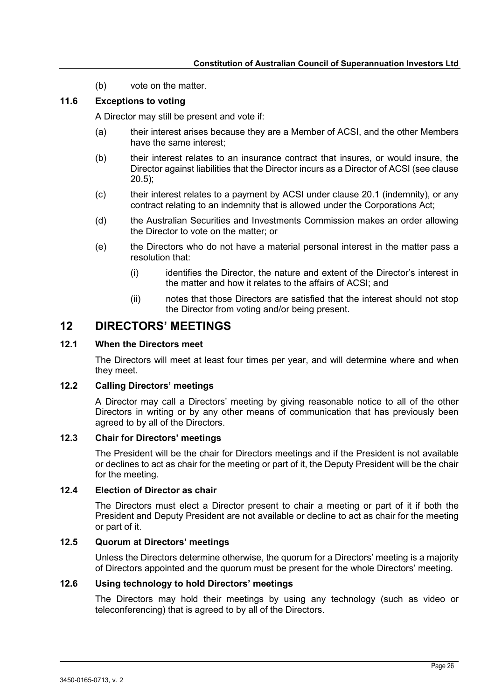(b) vote on the matter.

#### <span id="page-25-0"></span>**11.6 Exceptions to voting**

A Director may still be present and vote if:

- (a) their interest arises because they are a Member of ACSI, and the other Members have the same interest:
- (b) their interest relates to an insurance contract that insures, or would insure, the Director against liabilities that the Director incurs as a Director of ACSI (see clause [20.5\)](#page-31-7);
- (c) their interest relates to a payment by ACSI under clause [20.1](#page-31-3) (indemnity), or any contract relating to an indemnity that is allowed under the Corporations Act;
- (d) the Australian Securities and Investments Commission makes an order allowing the Director to vote on the matter; or
- (e) the Directors who do not have a material personal interest in the matter pass a resolution that:
	- (i) identifies the Director, the nature and extent of the Director's interest in the matter and how it relates to the affairs of ACSI; and
	- (ii) notes that those Directors are satisfied that the interest should not stop the Director from voting and/or being present.

# <span id="page-25-1"></span>**12 DIRECTORS' MEETINGS**

# <span id="page-25-2"></span>**12.1 When the Directors meet**

The Directors will meet at least four times per year, and will determine where and when they meet.

#### <span id="page-25-3"></span>**12.2 Calling Directors' meetings**

A Director may call a Directors' meeting by giving reasonable notice to all of the other Directors in writing or by any other means of communication that has previously been agreed to by all of the Directors.

# <span id="page-25-4"></span>**12.3 Chair for Directors' meetings**

The President will be the chair for Directors meetings and if the President is not available or declines to act as chair for the meeting or part of it, the Deputy President will be the chair for the meeting.

#### <span id="page-25-5"></span>**12.4 Election of Director as chair**

The Directors must elect a Director present to chair a meeting or part of it if both the President and Deputy President are not available or decline to act as chair for the meeting or part of it.

# <span id="page-25-6"></span>**12.5 Quorum at Directors' meetings**

Unless the Directors determine otherwise, the quorum for a Directors' meeting is a majority of Directors appointed and the quorum must be present for the whole Directors' meeting.

#### <span id="page-25-7"></span>**12.6 Using technology to hold Directors' meetings**

The Directors may hold their meetings by using any technology (such as video or teleconferencing) that is agreed to by all of the Directors.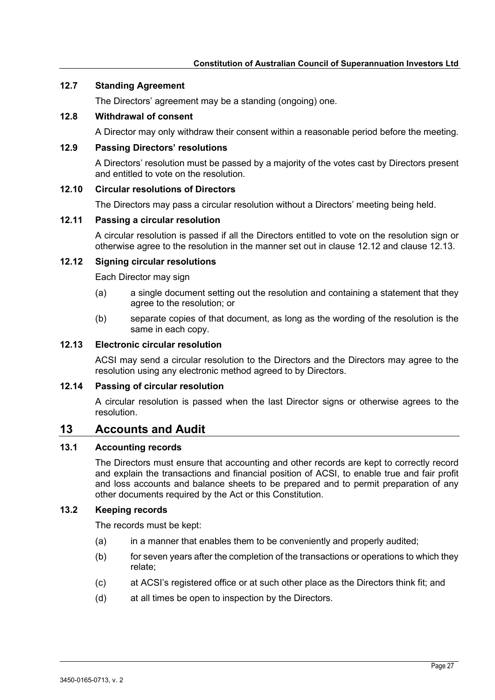#### <span id="page-26-0"></span>**12.7 Standing Agreement**

The Directors' agreement may be a standing (ongoing) one.

# <span id="page-26-1"></span>**12.8 Withdrawal of consent**

A Director may only withdraw their consent within a reasonable period before the meeting.

#### <span id="page-26-2"></span>**12.9 Passing Directors' resolutions**

A Directors' resolution must be passed by a majority of the votes cast by Directors present and entitled to vote on the resolution.

#### <span id="page-26-3"></span>**12.10 Circular resolutions of Directors**

The Directors may pass a circular resolution without a Directors' meeting being held.

#### <span id="page-26-4"></span>**12.11 Passing a circular resolution**

A circular resolution is passed if all the Directors entitled to vote on the resolution sign or otherwise agree to the resolution in the manner set out in clause [12.12](#page-26-5) and clause [12.13.](#page-26-6)

#### <span id="page-26-5"></span>**12.12 Signing circular resolutions**

Each Director may sign

- (a) a single document setting out the resolution and containing a statement that they agree to the resolution; or
- (b) separate copies of that document, as long as the wording of the resolution is the same in each copy.

# <span id="page-26-6"></span>**12.13 Electronic circular resolution**

ACSI may send a circular resolution to the Directors and the Directors may agree to the resolution using any electronic method agreed to by Directors.

## <span id="page-26-7"></span>**12.14 Passing of circular resolution**

A circular resolution is passed when the last Director signs or otherwise agrees to the resolution.

# <span id="page-26-8"></span>**13 Accounts and Audit**

#### <span id="page-26-9"></span>**13.1 Accounting records**

The Directors must ensure that accounting and other records are kept to correctly record and explain the transactions and financial position of ACSI, to enable true and fair profit and loss accounts and balance sheets to be prepared and to permit preparation of any other documents required by the Act or this Constitution.

#### <span id="page-26-10"></span>**13.2 Keeping records**

The records must be kept:

- (a) in a manner that enables them to be conveniently and properly audited;
- (b) for seven years after the completion of the transactions or operations to which they relate;
- (c) at ACSI's registered office or at such other place as the Directors think fit; and
- (d) at all times be open to inspection by the Directors.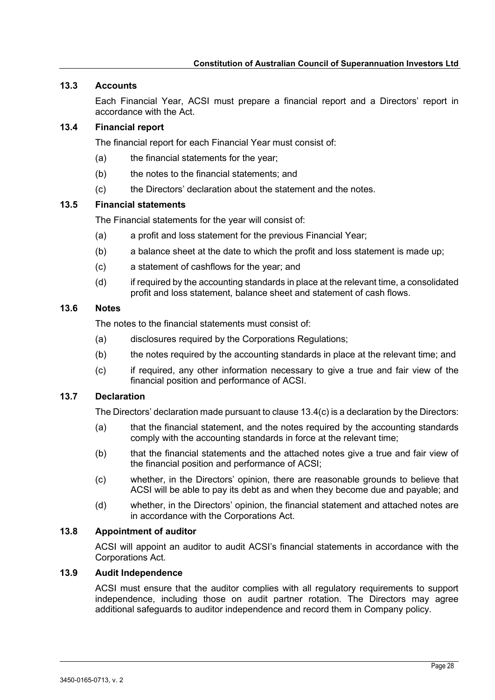## <span id="page-27-0"></span>**13.3 Accounts**

Each Financial Year, ACSI must prepare a financial report and a Directors' report in accordance with the Act.

# <span id="page-27-1"></span>**13.4 Financial report**

The financial report for each Financial Year must consist of:

- (a) the financial statements for the year;
- (b) the notes to the financial statements; and
- (c) the Directors' declaration about the statement and the notes.

# <span id="page-27-7"></span><span id="page-27-2"></span>**13.5 Financial statements**

The Financial statements for the year will consist of:

- (a) a profit and loss statement for the previous Financial Year;
- (b) a balance sheet at the date to which the profit and loss statement is made up;
- (c) a statement of cashflows for the year; and
- (d) if required by the accounting standards in place at the relevant time, a consolidated profit and loss statement, balance sheet and statement of cash flows.

## <span id="page-27-3"></span>**13.6 Notes**

The notes to the financial statements must consist of:

- (a) disclosures required by the Corporations Regulations;
- (b) the notes required by the accounting standards in place at the relevant time; and
- (c) if required, any other information necessary to give a true and fair view of the financial position and performance of ACSI.

# <span id="page-27-4"></span>**13.7 Declaration**

The Directors' declaration made pursuant to claus[e 13.4\(c\)](#page-27-7) is a declaration by the Directors:

- (a) that the financial statement, and the notes required by the accounting standards comply with the accounting standards in force at the relevant time;
- (b) that the financial statements and the attached notes give a true and fair view of the financial position and performance of ACSI;
- (c) whether, in the Directors' opinion, there are reasonable grounds to believe that ACSI will be able to pay its debt as and when they become due and payable; and
- (d) whether, in the Directors' opinion, the financial statement and attached notes are in accordance with the Corporations Act.

# <span id="page-27-5"></span>**13.8 Appointment of auditor**

ACSI will appoint an auditor to audit ACSI's financial statements in accordance with the Corporations Act.

## <span id="page-27-6"></span>**13.9 Audit Independence**

ACSI must ensure that the auditor complies with all regulatory requirements to support independence, including those on audit partner rotation. The Directors may agree additional safeguards to auditor independence and record them in Company policy.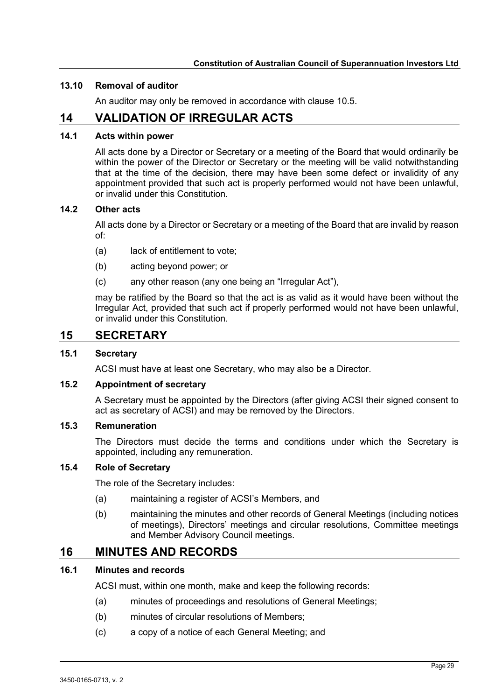#### <span id="page-28-0"></span>**13.10 Removal of auditor**

An auditor may only be removed in accordance with clause [10.5.](#page-23-2)

# <span id="page-28-1"></span>**14 VALIDATION OF IRREGULAR ACTS**

#### <span id="page-28-2"></span>**14.1 Acts within power**

All acts done by a Director or Secretary or a meeting of the Board that would ordinarily be within the power of the Director or Secretary or the meeting will be valid notwithstanding that at the time of the decision, there may have been some defect or invalidity of any appointment provided that such act is properly performed would not have been unlawful, or invalid under this Constitution.

#### <span id="page-28-3"></span>**14.2 Other acts**

All acts done by a Director or Secretary or a meeting of the Board that are invalid by reason of:

- (a) lack of entitlement to vote;
- (b) acting beyond power; or
- (c) any other reason (any one being an "Irregular Act"),

may be ratified by the Board so that the act is as valid as it would have been without the Irregular Act, provided that such act if properly performed would not have been unlawful, or invalid under this Constitution.

# <span id="page-28-4"></span>**15 SECRETARY**

# <span id="page-28-5"></span>**15.1 Secretary**

ACSI must have at least one Secretary, who may also be a Director.

#### <span id="page-28-6"></span>**15.2 Appointment of secretary**

A Secretary must be appointed by the Directors (after giving ACSI their signed consent to act as secretary of ACSI) and may be removed by the Directors.

## <span id="page-28-7"></span>**15.3 Remuneration**

The Directors must decide the terms and conditions under which the Secretary is appointed, including any remuneration.

#### <span id="page-28-8"></span>**15.4 Role of Secretary**

The role of the Secretary includes:

- (a) maintaining a register of ACSI's Members, and
- (b) maintaining the minutes and other records of General Meetings (including notices of meetings), Directors' meetings and circular resolutions, Committee meetings and Member Advisory Council meetings.

# <span id="page-28-9"></span>**16 MINUTES AND RECORDS**

## <span id="page-28-10"></span>**16.1 Minutes and records**

ACSI must, within one month, make and keep the following records:

- (a) minutes of proceedings and resolutions of General Meetings;
- (b) minutes of circular resolutions of Members;
- (c) a copy of a notice of each General Meeting; and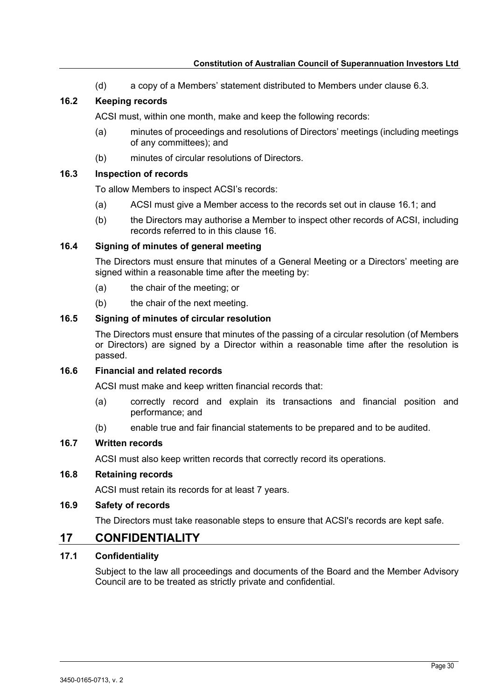(d) a copy of a Members' statement distributed to Members under clause [6.3.](#page-16-9)

# <span id="page-29-0"></span>**16.2 Keeping records**

ACSI must, within one month, make and keep the following records:

- (a) minutes of proceedings and resolutions of Directors' meetings (including meetings of any committees); and
- (b) minutes of circular resolutions of Directors.

# <span id="page-29-1"></span>**16.3 Inspection of records**

To allow Members to inspect ACSI's records:

- (a) ACSI must give a Member access to the records set out in clause [16.1;](#page-28-10) and
- (b) the Directors may authorise a Member to inspect other records of ACSI, including records referred to in this clause [16.](#page-28-9)

## <span id="page-29-2"></span>**16.4 Signing of minutes of general meeting**

The Directors must ensure that minutes of a General Meeting or a Directors' meeting are signed within a reasonable time after the meeting by:

- (a) the chair of the meeting; or
- (b) the chair of the next meeting.

## <span id="page-29-3"></span>**16.5 Signing of minutes of circular resolution**

The Directors must ensure that minutes of the passing of a circular resolution (of Members or Directors) are signed by a Director within a reasonable time after the resolution is passed.

# <span id="page-29-4"></span>**16.6 Financial and related records**

ACSI must make and keep written financial records that:

- (a) correctly record and explain its transactions and financial position and performance; and
- (b) enable true and fair financial statements to be prepared and to be audited.

# <span id="page-29-5"></span>**16.7 Written records**

ACSI must also keep written records that correctly record its operations.

## <span id="page-29-6"></span>**16.8 Retaining records**

ACSI must retain its records for at least 7 years.

# <span id="page-29-7"></span>**16.9 Safety of records**

The Directors must take reasonable steps to ensure that ACSI's records are kept safe.

# <span id="page-29-8"></span>**17 CONFIDENTIALITY**

# <span id="page-29-9"></span>**17.1 Confidentiality**

Subject to the law all proceedings and documents of the Board and the Member Advisory Council are to be treated as strictly private and confidential.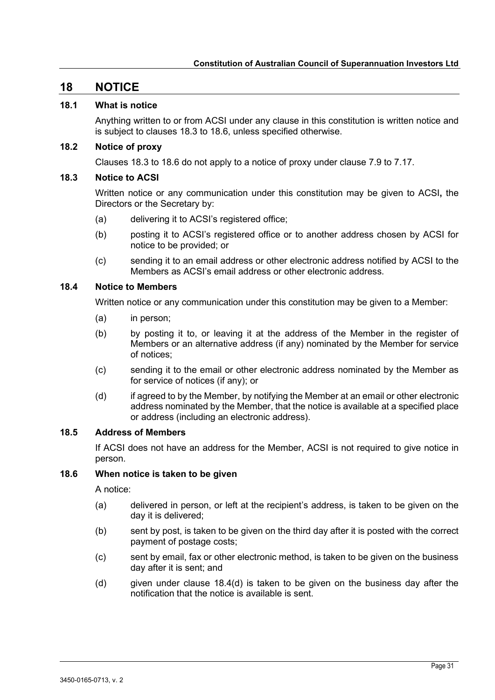# <span id="page-30-0"></span>**18 NOTICE**

#### <span id="page-30-1"></span>**18.1 What is notice**

Anything written to or from ACSI under any clause in this constitution is written notice and is subject to clauses [18.3](#page-30-3) to [18.6,](#page-30-6) unless specified otherwise.

#### <span id="page-30-2"></span>**18.2 Notice of proxy**

Clauses [18.3](#page-30-3) to [18.6](#page-30-6) do not apply to a notice of proxy under clause [7.9](#page-19-1) to [7.17.](#page-19-9)

#### <span id="page-30-3"></span>**18.3 Notice to ACSI**

Written notice or any communication under this constitution may be given to ACSI**,** the Directors or the Secretary by:

- (a) delivering it to ACSI's registered office;
- (b) posting it to ACSI's registered office or to another address chosen by ACSI for notice to be provided; or
- (c) sending it to an email address or other electronic address notified by ACSI to the Members as ACSI's email address or other electronic address.

#### <span id="page-30-4"></span>**18.4 Notice to Members**

Written notice or any communication under this constitution may be given to a Member:

- (a) in person;
- (b) by posting it to, or leaving it at the address of the Member in the register of Members or an alternative address (if any) nominated by the Member for service of notices;
- (c) sending it to the email or other electronic address nominated by the Member as for service of notices (if any); or
- <span id="page-30-7"></span>(d) if agreed to by the Member, by notifying the Member at an email or other electronic address nominated by the Member, that the notice is available at a specified place or address (including an electronic address).

#### <span id="page-30-5"></span>**18.5 Address of Members**

If ACSI does not have an address for the Member, ACSI is not required to give notice in person.

## <span id="page-30-6"></span>**18.6 When notice is taken to be given**

A notice:

- (a) delivered in person, or left at the recipient's address, is taken to be given on the day it is delivered;
- (b) sent by post, is taken to be given on the third day after it is posted with the correct payment of postage costs;
- (c) sent by email, fax or other electronic method, is taken to be given on the business day after it is sent; and
- (d) given under clause  $18.4(d)$  is taken to be given on the business day after the notification that the notice is available is sent.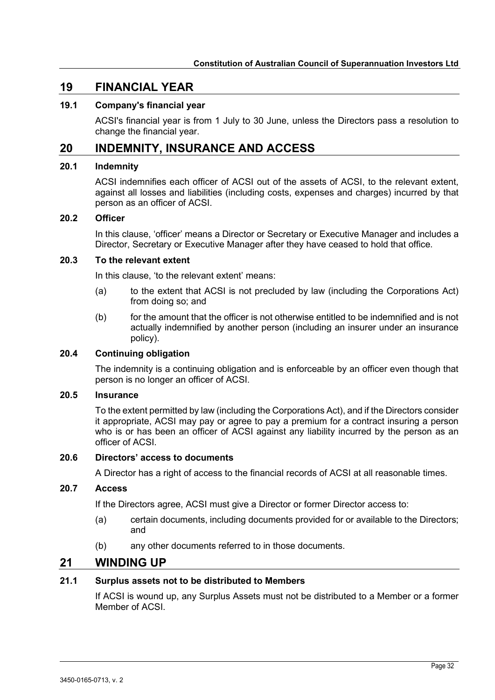# <span id="page-31-0"></span>**19 FINANCIAL YEAR**

#### <span id="page-31-1"></span>**19.1 Company's financial year**

ACSI's financial year is from 1 July to 30 June, unless the Directors pass a resolution to change the financial year.

# <span id="page-31-2"></span>**20 INDEMNITY, INSURANCE AND ACCESS**

#### <span id="page-31-3"></span>**20.1 Indemnity**

ACSI indemnifies each officer of ACSI out of the assets of ACSI, to the relevant extent, against all losses and liabilities (including costs, expenses and charges) incurred by that person as an officer of ACSI.

#### <span id="page-31-4"></span>**20.2 Officer**

In this clause, 'officer' means a Director or Secretary or Executive Manager and includes a Director, Secretary or Executive Manager after they have ceased to hold that office.

## <span id="page-31-5"></span>**20.3 To the relevant extent**

In this clause, 'to the relevant extent' means:

- (a) to the extent that ACSI is not precluded by law (including the Corporations Act) from doing so; and
- (b) for the amount that the officer is not otherwise entitled to be indemnified and is not actually indemnified by another person (including an insurer under an insurance policy).

#### <span id="page-31-6"></span>**20.4 Continuing obligation**

The indemnity is a continuing obligation and is enforceable by an officer even though that person is no longer an officer of ACSI.

#### <span id="page-31-7"></span>**20.5 Insurance**

To the extent permitted by law (including the Corporations Act), and if the Directors consider it appropriate, ACSI may pay or agree to pay a premium for a contract insuring a person who is or has been an officer of ACSI against any liability incurred by the person as an officer of ACSI.

#### <span id="page-31-8"></span>**20.6 Directors' access to documents**

A Director has a right of access to the financial records of ACSI at all reasonable times.

#### <span id="page-31-9"></span>**20.7 Access**

If the Directors agree, ACSI must give a Director or former Director access to:

- (a) certain documents, including documents provided for or available to the Directors; and
- (b) any other documents referred to in those documents.

# <span id="page-31-10"></span>**21 WINDING UP**

#### <span id="page-31-11"></span>**21.1 Surplus assets not to be distributed to Members**

If ACSI is wound up, any Surplus Assets must not be distributed to a Member or a former Member of ACSI.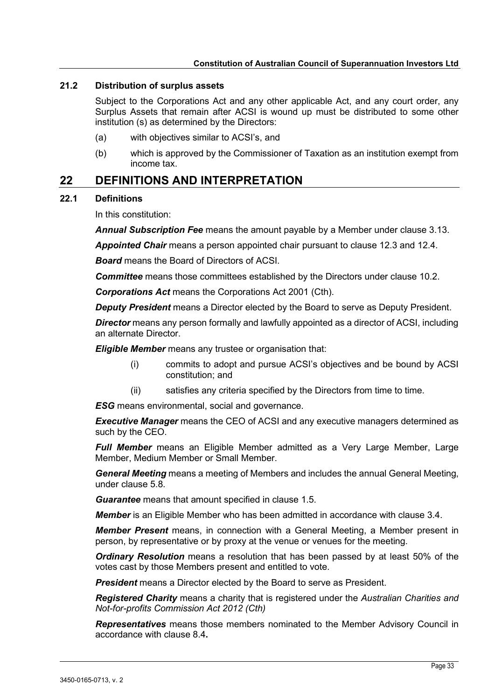#### <span id="page-32-0"></span>**21.2 Distribution of surplus assets**

Subject to the Corporations Act and any other applicable Act, and any court order, any Surplus Assets that remain after ACSI is wound up must be distributed to some other institution (s) as determined by the Directors:

- (a) with objectives similar to ACSI's, and
- (b) which is approved by the Commissioner of Taxation as an institution exempt from income tax.

# <span id="page-32-1"></span>**22 DEFINITIONS AND INTERPRETATION**

#### <span id="page-32-2"></span>**22.1 Definitions**

In this constitution:

*Annual Subscription Fee* means the amount payable by a Member under clause [3.13.](#page-9-3)

*Appointed Chair* means a person appointed chair pursuant to clause [12.3](#page-25-4) and [12.4.](#page-25-5)

*Board* means the Board of Directors of ACSI.

*Committee* means those committees established by the Directors under clause [10.2.](#page-22-2)

*Corporations Act* means the Corporations Act 2001 (Cth).

*Deputy President* means a Director elected by the Board to serve as Deputy President.

*Director* means any person formally and lawfully appointed as a director of ACSI, including an alternate Director.

*Eligible Member* means any trustee or organisation that:

- (i) commits to adopt and pursue ACSI's objectives and be bound by ACSI constitution; and
- (ii) satisfies any criteria specified by the Directors from time to time.

*ESG* means environmental, social and governance.

*Executive Manager* means the CEO of ACSI and any executive managers determined as such by the CEO.

*Full Member* means an Eligible Member admitted as a Very Large Member, Large Member, Medium Member or Small Member.

*General Meeting* means a meeting of Members and includes the annual General Meeting, under clause [5.8.](#page-13-3)

*Guarantee* means that amount specified in clause [1.5.](#page-6-5)

*Member* is an Eligible Member who has been admitted in accordance with clause [3.4.](#page-7-7)

*Member Present* means, in connection with a General Meeting, a Member present in person, by representative or by proxy at the venue or venues for the meeting.

*Ordinary Resolution* means a resolution that has been passed by at least 50% of the votes cast by those Members present and entitled to vote.

**President** means a Director elected by the Board to serve as President.

*Registered Charity* means a charity that is registered under the *Australian Charities and Not-for-profits Commission Act 2012 (Cth)*

*Representatives* means those members nominated to the Member Advisory Council in accordance with clause [8.4](#page-20-5)**.**